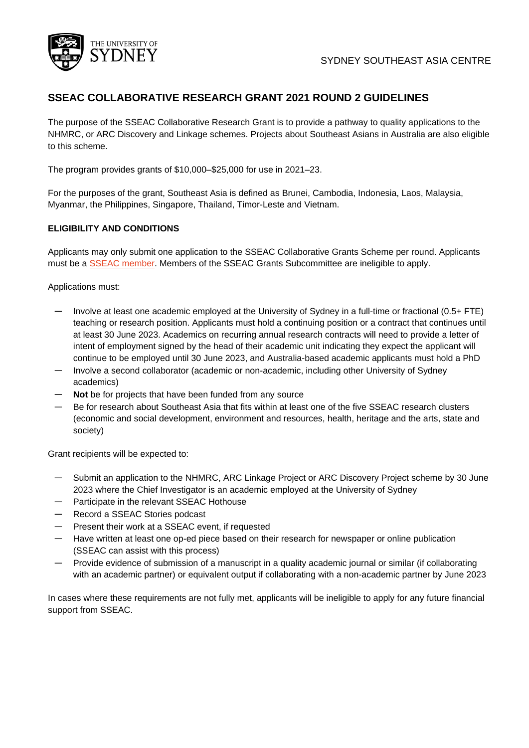

# **SSEAC COLLABORATIVE RESEARCH GRANT 2021 ROUND 2 GUIDELINES**

The purpose of the SSEAC Collaborative Research Grant is to provide a pathway to quality applications to the NHMRC, or ARC Discovery and Linkage schemes. Projects about Southeast Asians in Australia are also eligible to this scheme.

The program provides grants of \$10,000–\$25,000 for use in 2021–23.

For the purposes of the grant, Southeast Asia is defined as Brunei, Cambodia, Indonesia, Laos, Malaysia, Myanmar, the Philippines, Singapore, Thailand, Timor-Leste and Vietnam.

## **ELIGIBILITY AND CONDITIONS**

Applicants may only submit one application to the SSEAC Collaborative Grants Scheme per round. Applicants must be a [SSEAC member.](https://www.sydney.edu.au/sydney-southeast-asia-centre/contact-us/become-a-member.html) Members of the SSEAC Grants Subcommittee are ineligible to apply.

Applications must:

- ― Involve at least one academic employed at the University of Sydney in a full-time or fractional (0.5+ FTE) teaching or research position. Applicants must hold a continuing position or a contract that continues until at least 30 June 2023. Academics on recurring annual research contracts will need to provide a letter of intent of employment signed by the head of their academic unit indicating they expect the applicant will continue to be employed until 30 June 2023, and Australia-based academic applicants must hold a PhD
- ― Involve a second collaborator (academic or non-academic, including other University of Sydney academics)
- Not be for projects that have been funded from any source
- Be for research about Southeast Asia that fits within at least one of the five SSEAC research clusters (economic and social development, environment and resources, health, heritage and the arts, state and society)

Grant recipients will be expected to:

- Submit an application to the NHMRC, ARC Linkage Project or ARC Discovery Project scheme by 30 June 2023 where the Chief Investigator is an academic employed at the University of Sydney
- ― Participate in the relevant SSEAC Hothouse
- ― Record a SSEAC Stories podcast
- ― Present their work at a SSEAC event, if requested
- ― Have written at least one op-ed piece based on their research for newspaper or online publication (SSEAC can assist with this process)
- ― Provide evidence of submission of a manuscript in a quality academic journal or similar (if collaborating with an academic partner) or equivalent output if collaborating with a non-academic partner by June 2023

In cases where these requirements are not fully met, applicants will be ineligible to apply for any future financial support from SSEAC.